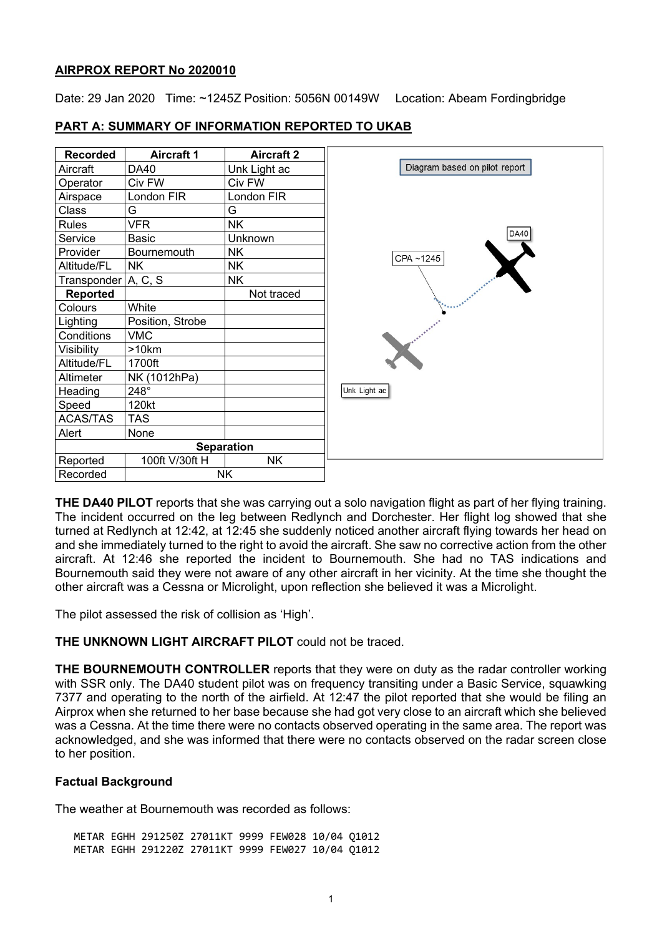## **AIRPROX REPORT No 2020010**

Date: 29 Jan 2020 Time: ~1245Z Position: 5056N 00149W Location: Abeam Fordingbridge

| <b>Recorded</b>     | <b>Aircraft 1</b> | <b>Aircraft 2</b> |  |
|---------------------|-------------------|-------------------|--|
| Aircraft            | <b>DA40</b>       | Unk Light ac      |  |
| Operator            | Civ FW            | Civ FW            |  |
| Airspace            | London FIR        | London FIR        |  |
| Class               | G                 | G                 |  |
| <b>Rules</b>        | <b>VFR</b>        | <b>NK</b>         |  |
| Service             | <b>Basic</b>      | <b>Unknown</b>    |  |
| Provider            | Bournemouth       | <b>NK</b>         |  |
| Altitude/FL         | <b>NK</b>         | <b>NK</b>         |  |
| Transponder A, C, S |                   | <b>NK</b>         |  |
| Reported            |                   | Not traced        |  |
| Colours             | White             |                   |  |
| Lighting            | Position, Strobe  |                   |  |
| Conditions          | <b>VMC</b>        |                   |  |
| Visibility          | >10km             |                   |  |
| Altitude/FL         | 1700ft            |                   |  |
| Altimeter           | NK (1012hPa)      |                   |  |
| Heading             | 248°              |                   |  |
| Speed               | 120kt             |                   |  |
| ACAS/TAS            | <b>TAS</b>        |                   |  |
| Alert               | None              |                   |  |
|                     |                   | <b>Separation</b> |  |
| Reported            | 100ft V/30ft H    | <b>NK</b>         |  |
| Recorded            | <b>NK</b>         |                   |  |

## **PART A: SUMMARY OF INFORMATION REPORTED TO UKAB**

**THE DA40 PILOT** reports that she was carrying out a solo navigation flight as part of her flying training. The incident occurred on the leg between Redlynch and Dorchester. Her flight log showed that she turned at Redlynch at 12:42, at 12:45 she suddenly noticed another aircraft flying towards her head on and she immediately turned to the right to avoid the aircraft. She saw no corrective action from the other aircraft. At 12:46 she reported the incident to Bournemouth. She had no TAS indications and Bournemouth said they were not aware of any other aircraft in her vicinity. At the time she thought the other aircraft was a Cessna or Microlight, upon reflection she believed it was a Microlight.

The pilot assessed the risk of collision as 'High'.

# **THE UNKNOWN LIGHT AIRCRAFT PILOT** could not be traced.

**THE BOURNEMOUTH CONTROLLER** reports that they were on duty as the radar controller working with SSR only. The DA40 student pilot was on frequency transiting under a Basic Service, squawking 7377 and operating to the north of the airfield. At 12:47 the pilot reported that she would be filing an Airprox when she returned to her base because she had got very close to an aircraft which she believed was a Cessna. At the time there were no contacts observed operating in the same area. The report was acknowledged, and she was informed that there were no contacts observed on the radar screen close to her position.

# **Factual Background**

The weather at Bournemouth was recorded as follows:

METAR EGHH 291250Z 27011KT 9999 FEW028 10/04 Q1012 METAR EGHH 291220Z 27011KT 9999 FEW027 10/04 Q1012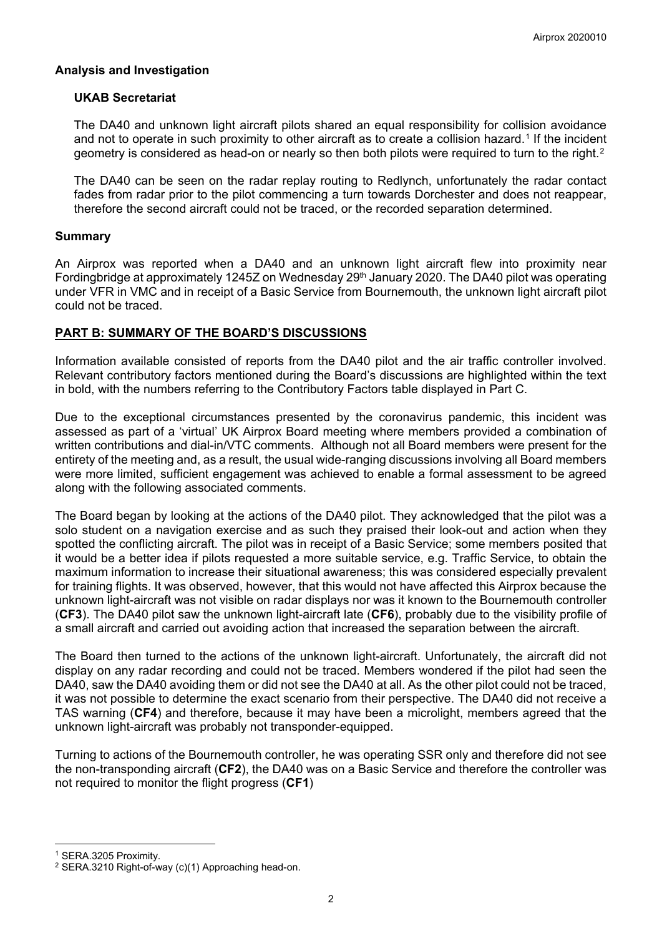## **Analysis and Investigation**

### **UKAB Secretariat**

The DA40 and unknown light aircraft pilots shared an equal responsibility for collision avoidance and not to operate in such proximity to other aircraft as to create a collision hazard.<sup>[1](#page-1-0)</sup> If the incident geometry is considered as head-on or nearly so then both pilots were required to turn to the right.<sup>[2](#page-1-1)</sup>

The DA40 can be seen on the radar replay routing to Redlynch, unfortunately the radar contact fades from radar prior to the pilot commencing a turn towards Dorchester and does not reappear, therefore the second aircraft could not be traced, or the recorded separation determined.

## **Summary**

An Airprox was reported when a DA40 and an unknown light aircraft flew into proximity near Fordingbridge at approximately 1245Z on Wednesday 29th January 2020. The DA40 pilot was operating under VFR in VMC and in receipt of a Basic Service from Bournemouth, the unknown light aircraft pilot could not be traced.

# **PART B: SUMMARY OF THE BOARD'S DISCUSSIONS**

Information available consisted of reports from the DA40 pilot and the air traffic controller involved. Relevant contributory factors mentioned during the Board's discussions are highlighted within the text in bold, with the numbers referring to the Contributory Factors table displayed in Part C.

Due to the exceptional circumstances presented by the coronavirus pandemic, this incident was assessed as part of a 'virtual' UK Airprox Board meeting where members provided a combination of written contributions and dial-in/VTC comments. Although not all Board members were present for the entirety of the meeting and, as a result, the usual wide-ranging discussions involving all Board members were more limited, sufficient engagement was achieved to enable a formal assessment to be agreed along with the following associated comments.

The Board began by looking at the actions of the DA40 pilot. They acknowledged that the pilot was a solo student on a navigation exercise and as such they praised their look-out and action when they spotted the conflicting aircraft. The pilot was in receipt of a Basic Service; some members posited that it would be a better idea if pilots requested a more suitable service, e.g. Traffic Service, to obtain the maximum information to increase their situational awareness; this was considered especially prevalent for training flights. It was observed, however, that this would not have affected this Airprox because the unknown light-aircraft was not visible on radar displays nor was it known to the Bournemouth controller (**CF3**). The DA40 pilot saw the unknown light-aircraft late (**CF6**), probably due to the visibility profile of a small aircraft and carried out avoiding action that increased the separation between the aircraft.

The Board then turned to the actions of the unknown light-aircraft. Unfortunately, the aircraft did not display on any radar recording and could not be traced. Members wondered if the pilot had seen the DA40, saw the DA40 avoiding them or did not see the DA40 at all. As the other pilot could not be traced, it was not possible to determine the exact scenario from their perspective. The DA40 did not receive a TAS warning (**CF4**) and therefore, because it may have been a microlight, members agreed that the unknown light-aircraft was probably not transponder-equipped.

Turning to actions of the Bournemouth controller, he was operating SSR only and therefore did not see the non-transponding aircraft (**CF2**), the DA40 was on a Basic Service and therefore the controller was not required to monitor the flight progress (**CF1**)

 $\overline{\phantom{a}}$ 

<span id="page-1-0"></span><sup>1</sup> SERA.3205 Proximity.

<span id="page-1-1"></span><sup>2</sup> SERA.3210 Right-of-way (c)(1) Approaching head-on.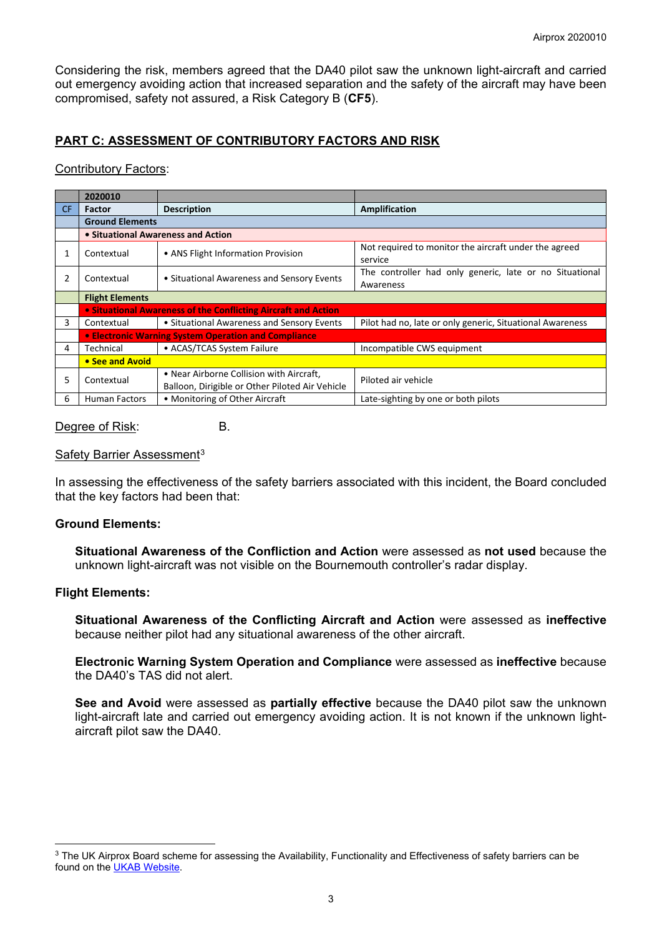Considering the risk, members agreed that the DA40 pilot saw the unknown light-aircraft and carried out emergency avoiding action that increased separation and the safety of the aircraft may have been compromised, safety not assured, a Risk Category B (**CF5**).

# **PART C: ASSESSMENT OF CONTRIBUTORY FACTORS AND RISK**

### Contributory Factors:

|           | 2020010                                                        |                                                                                             |                                                                      |  |  |  |
|-----------|----------------------------------------------------------------|---------------------------------------------------------------------------------------------|----------------------------------------------------------------------|--|--|--|
| <b>CF</b> | <b>Factor</b>                                                  | <b>Description</b>                                                                          | <b>Amplification</b>                                                 |  |  |  |
|           | <b>Ground Elements</b>                                         |                                                                                             |                                                                      |  |  |  |
|           | • Situational Awareness and Action                             |                                                                                             |                                                                      |  |  |  |
| 1         | Contextual                                                     | • ANS Flight Information Provision                                                          | Not required to monitor the aircraft under the agreed<br>service     |  |  |  |
| 2         | Contextual                                                     | • Situational Awareness and Sensory Events                                                  | The controller had only generic, late or no Situational<br>Awareness |  |  |  |
|           | <b>Flight Elements</b>                                         |                                                                                             |                                                                      |  |  |  |
|           | • Situational Awareness of the Conflicting Aircraft and Action |                                                                                             |                                                                      |  |  |  |
| 3         | Contextual                                                     | • Situational Awareness and Sensory Events                                                  | Pilot had no, late or only generic, Situational Awareness            |  |  |  |
|           | • Electronic Warning System Operation and Compliance           |                                                                                             |                                                                      |  |  |  |
| 4         | Technical                                                      | • ACAS/TCAS System Failure                                                                  | Incompatible CWS equipment                                           |  |  |  |
|           | • See and Avoid                                                |                                                                                             |                                                                      |  |  |  |
| 5.        | Contextual                                                     | • Near Airborne Collision with Aircraft,<br>Balloon, Dirigible or Other Piloted Air Vehicle | Piloted air vehicle                                                  |  |  |  |
| 6         | <b>Human Factors</b>                                           | • Monitoring of Other Aircraft                                                              | Late-sighting by one or both pilots                                  |  |  |  |

### Degree of Risk: B.

## Safety Barrier Assessment<sup>[3](#page-2-0)</sup>

In assessing the effectiveness of the safety barriers associated with this incident, the Board concluded that the key factors had been that:

### **Ground Elements:**

**Situational Awareness of the Confliction and Action** were assessed as **not used** because the unknown light-aircraft was not visible on the Bournemouth controller's radar display.

### **Flight Elements:**

 $\overline{\phantom{a}}$ 

**Situational Awareness of the Conflicting Aircraft and Action** were assessed as **ineffective** because neither pilot had any situational awareness of the other aircraft.

**Electronic Warning System Operation and Compliance** were assessed as **ineffective** because the DA40's TAS did not alert.

**See and Avoid** were assessed as **partially effective** because the DA40 pilot saw the unknown light-aircraft late and carried out emergency avoiding action. It is not known if the unknown lightaircraft pilot saw the DA40.

<span id="page-2-0"></span><sup>&</sup>lt;sup>3</sup> The UK Airprox Board scheme for assessing the Availability, Functionality and Effectiveness of safety barriers can be found on the [UKAB Website.](http://www.airproxboard.org.uk/Learn-more/Airprox-Barrier-Assessment/)